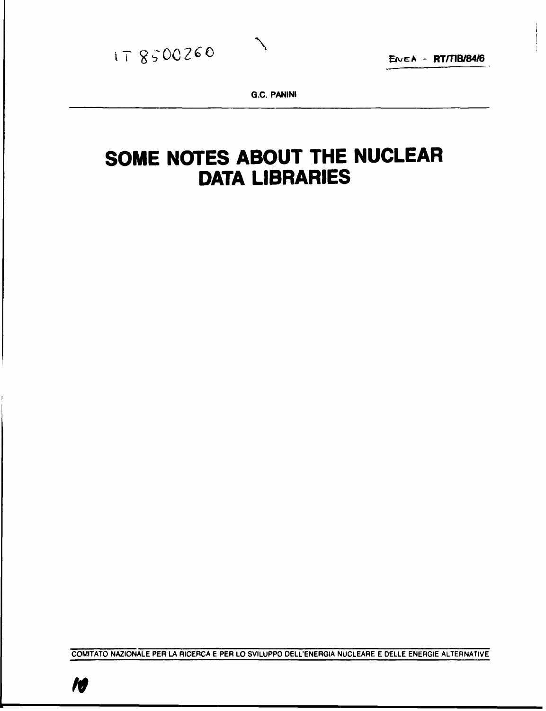

**G.C. PANINI** 

 $\mathcal{L}$ 

# **SOME NOTES ABOUT THE NUCLEAR DATA LIBRARIES**

COMITATO NAZIONALE PER LA RICERCA E PER LO SVILUPPO DELL'ENERGIA NUCLEARE E DELLE ENERGIE ALTERNATIVE

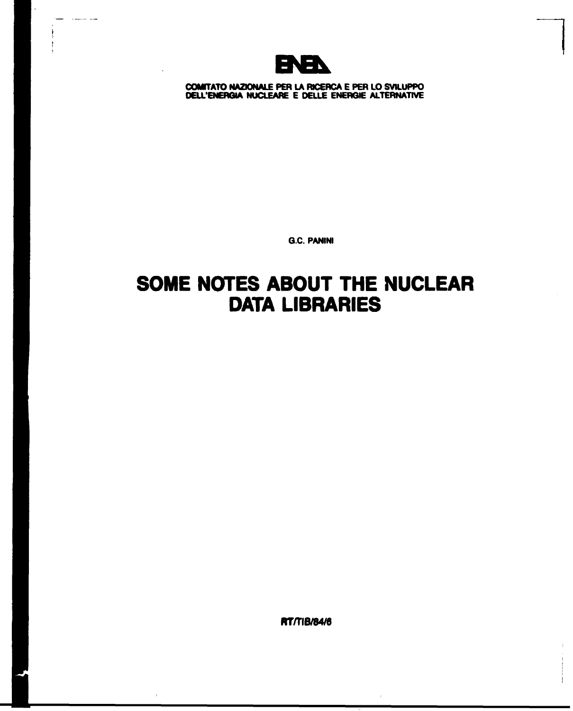

 $\overline{a}$ 

**COtffTATO NAZIONALE PER LA RICERCA E PER LO SVILUPPO DELL'ENERGIA NUCLEARE E DELLE ENERGIE ALTERNATIVE** 

**G.C. PANINI** 

## **SOME NOTES ABOUT THE NUCLEAR DATA LIBRARIES**

**RT/TIB/84/6**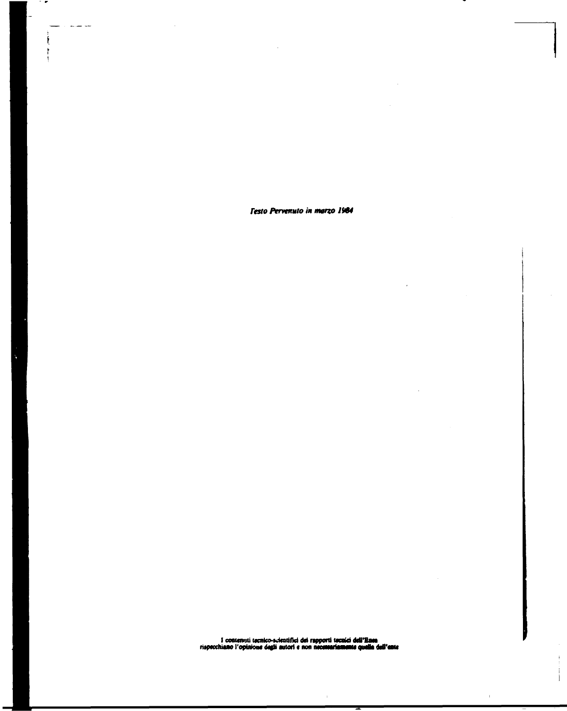*Testo Pervenuto* **in** *mono 1984* 

v.

 $\ddot{\phantom{a}}$ 

 $\sim$ 

Ť

 $\mathbb{L}$ 

 $\overline{a}$ 

بلويت المنابين

÷.

**I conten**uti tornico-scientifici dei rapporti tornici dell'Enea<br>rispecchiano l'opinione degli autori e non nec**essariamente quella dell'ente** 

 $\bar{\rm T}$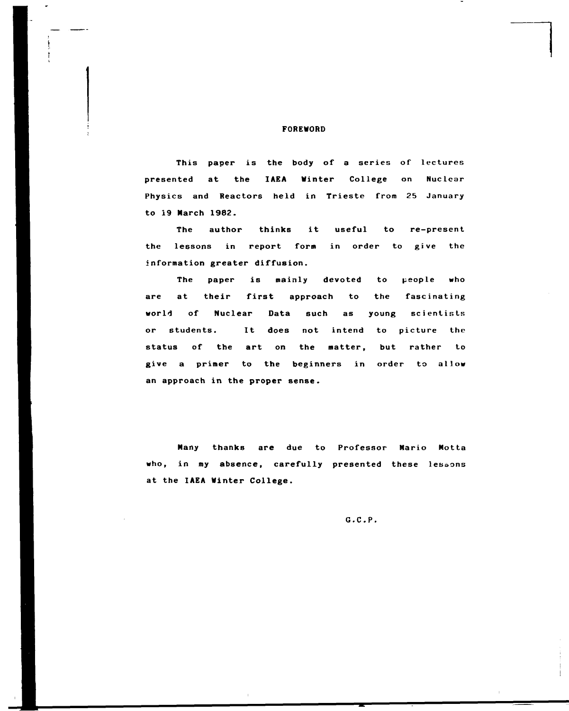#### FOREWORD

This paper is the body of a series of lectures presented at the **IAEA** Winter College on Nuclear Physics and Reactors held in Trieste from 25 January to 19 March 1982.

The author thinks it useful to re-present the lessons in report form in order to give the information greater diffusion.

The paper is mainly devoted to people who are at their first approach to the fascinating world of Nuclear Data such as young scientists or students. It does not intend to picture the status of the art on the matter, but rather to give a primer to the beginners in order to allow an approach in the proper sense.

Many thanks are due to Professor Mario Motta who, in my absence, carefully presented these lessons at the IAEA Winter College.

G.C.P.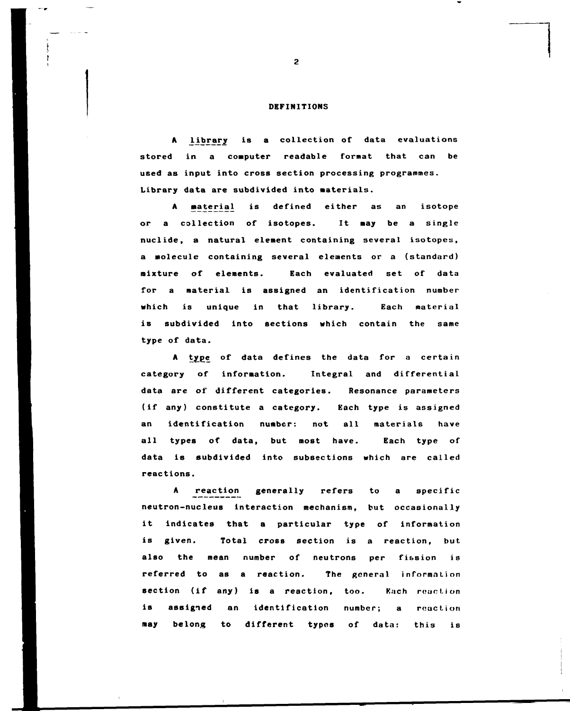#### **DEFINITIONS**

**A library is a collection of data evaluations stored in a computer readable format that can be used as input into cross section processing programmes. Library data are subdivided into materials.** 

A **material is defined either as an isotope or a collection of isotopes. It may be a single nuclide, a natural element containing several isotopes, a molecule containing several elements or a (standard) mixture of elements. Each evaluated set of data for a material is assigned an identification number which is unique in that library. Each material is subdivided into sections which contain the same type of data.** 

A type of data defines the data for a certain **category of information. Integral and differential data are of different categories. Resonance parameters (if any) constitute a category. Each type is assigned an identification number: not all materials have all types of data, but most have. Each type of data is subdivided into subsections which are called reactions.** 

**A reaction generally refers to a specific neutron-nucleus interaction mechanism, but occasionally it indicates that a particular type of information is given. Total cross section is a reaction, but also the mean number of neutrons per fission is referred to as a reaction. The general information**  section (if any) is a reaction, too. **Each reaction is assigned an identification number; a reaction may belong to different types of data: this is**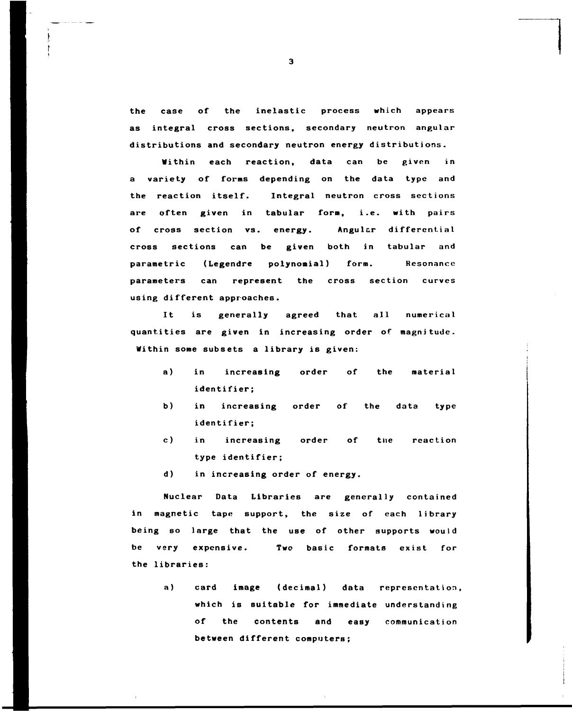**the case of the inelastic process which appears as integral cross sections, secondary neutron angular distributions and secondary neutron energy distributions.** 

**Within each reaction, data can be given in a variety of forns depending on the data type and the reaction itself. Integral neutron cross sections are often given in tabular form, i.e. with pairs of cross section vs. energy. Angular differential cross sections can be given both in tabular and parametric (Legendre polynomial) form. Resonance parameters can represent the cross section curves using different approaches.** 

**It is generally agreed that all numerical quantities are given in increasing order of magnitude. Within some subsets a library is given:** 

- **a) in increasing order of the material identifier;**
- **b) in increasing order of the data type identifier;**
- **c) in increasing order of tue reaction type identifier;**
- **d) in increasing order of energy.**

**Nuclear Data Libraries are generally contained in magnetic tape support, the size of each library being so large that the use of other supports would be very expensive. Two basic formats exist for the libraries:** 

> **a) card image (decimal) data representation which is suitable for immediate understanding of the contents and easy communication between different computers;**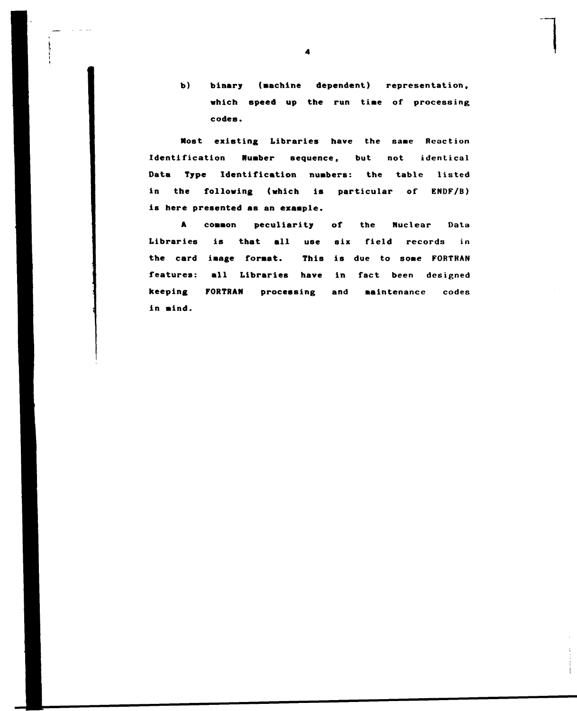**b) binary (machine dependent) representation,**  which speed up the run time of processing **codes.** 

**Host existing Libraries have the same Reaction** Identification **Number sequence**, but not identical **Data Type Identification nuabers: the tabic listed in the following (which is particular of ENDF/B) is here presented as an exaaple.** 

**A coaaon peculiarity of the Nuclear Data Libraries is that all use six field records in the card iaage format. This is due to sone FORTRAN features: all Libraries have in fact been designed keeping FORTRAN processing and Maintenance codes in nind.**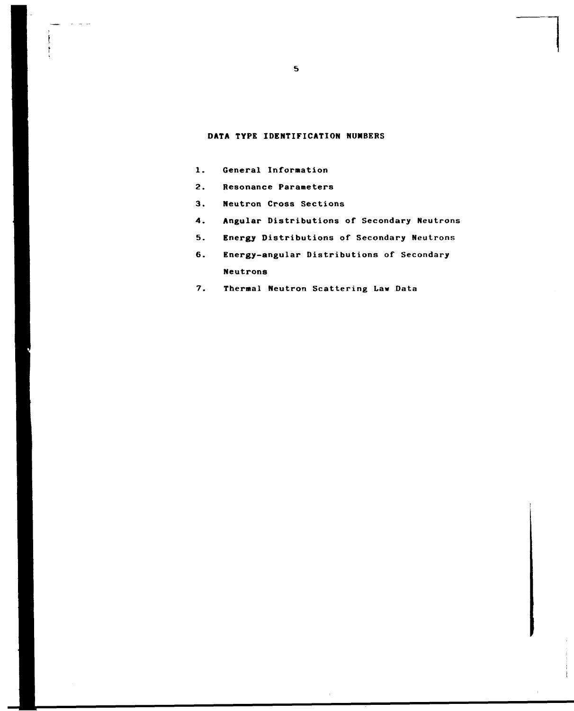#### **DATA TYPE IDENTIFICATION NUMBERS**

- **1. General Information**
- **2. Resonance Parameters**
- **3. Neutron Cross Sections**
- **4. Angular Distributions of Secondary Neutrons**
- **5. Energy Distributions of Secondary Neutrons**
- **6. Energy-angular Distributions of Secondary Neutrons**
- **7. Thermal Neutron Scattering Law Data**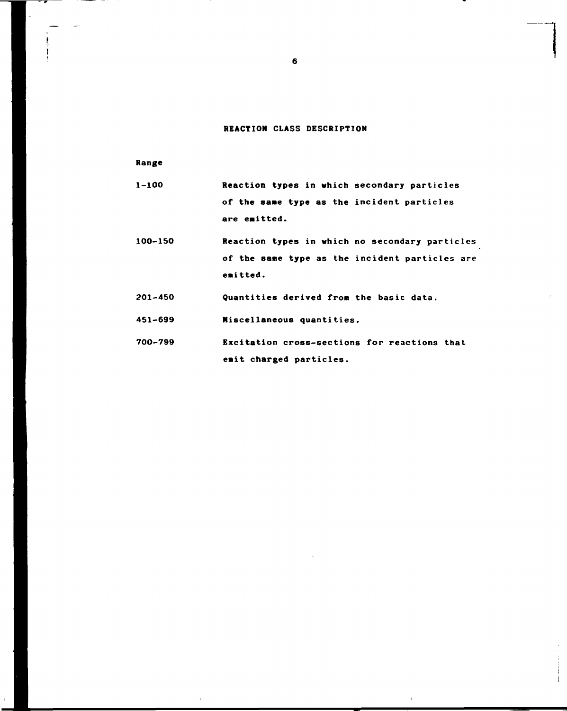## **REACTION CLASS DESCRIPTION**

**Range** 

| 1-100 | Reaction types in which secondary particles |  |  |  |  |
|-------|---------------------------------------------|--|--|--|--|
|       | of the same type as the incident particles  |  |  |  |  |
|       | are emitted.                                |  |  |  |  |

- **100-150 Reaction types in which no secondary particles of the same type as the incident particles are emitted.**
- **201-450 Quantities derived from the basic data.**
- **451-699 Miscellaneous quantities.**
- **700-799 Excitation cross-sections for reactions that emit charged particles.**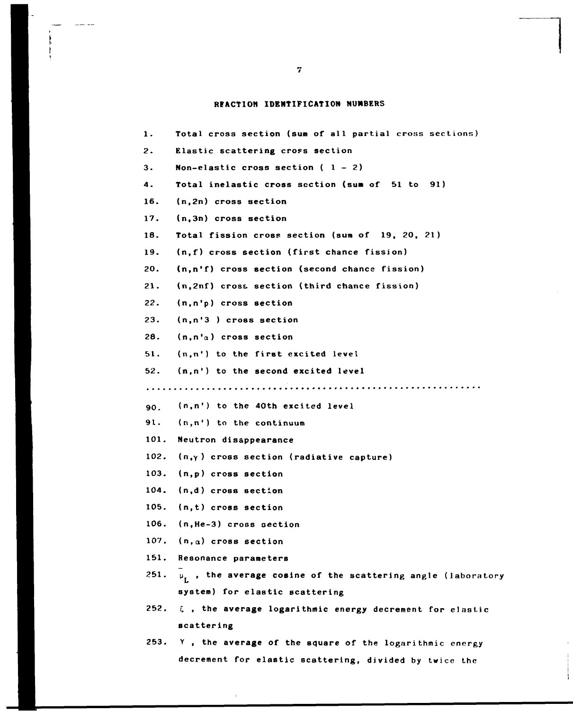## **REACTION IDENTIFICATION NUMBERS**

| 1.   | Total cross section (sum of all partial cross sections)                 |
|------|-------------------------------------------------------------------------|
| 2.   | Elastic scattering cross section                                        |
| 3.   | Non-elastic cross section $(1 - 2)$                                     |
| 4.   | Total inelastic cross section (sum of 51 to 91)                         |
| 16.  | (n,2n) cross section                                                    |
| 17.  | (n,3n) cross section                                                    |
| 18.  | Total fission cross section (sum of 19, 20, 21)                         |
| 19.  | (n,f) cross section (first chance fission)                              |
| 20.  | (n,n'f) cross section (second chance fission)                           |
| 21.  | (n, 2nf) cross section (third chance fission)                           |
| 22.  | (n,n'p) cross section                                                   |
| 23.  | $(n, n'3)$ cross section                                                |
| 28.  | $(n, n'_{\alpha})$ cross section                                        |
| 51.  | $(n,n')$ to the first excited level                                     |
|      | 52. (n,n') to the second excited level                                  |
|      |                                                                         |
| 90.  | (n,n') to the 40th excited level                                        |
| 91.  | $(n, n')$ to the continuum                                              |
| 101. | Neutron disappearance                                                   |
|      | 102. $(n,\gamma)$ cross section (radiative capture)                     |
|      | 103. (n,p) cross section                                                |
|      | 104. (n,d) cross section                                                |
| 105. | $(n, t)$ cross section                                                  |
|      | 106. (n, He-3) cross section                                            |
|      | 107. $(n, \alpha)$ cross section                                        |
|      | 151. Resonance parameters                                               |
|      | 251. $\mu_{I}$ , the average cosine of the scattering angle (laboratory |
|      | system) for elastic scattering                                          |
|      | 252. $\xi$ , the average logarithmic energy decrement for elastic       |
|      | scattering                                                              |
|      | 253. Y, the average of the square of the logarithmic energy             |
|      | decrement for elastic scattering, divided by twice the                  |

 $\bar{\rm{L}}$ 

 $\bar{z}$ 

---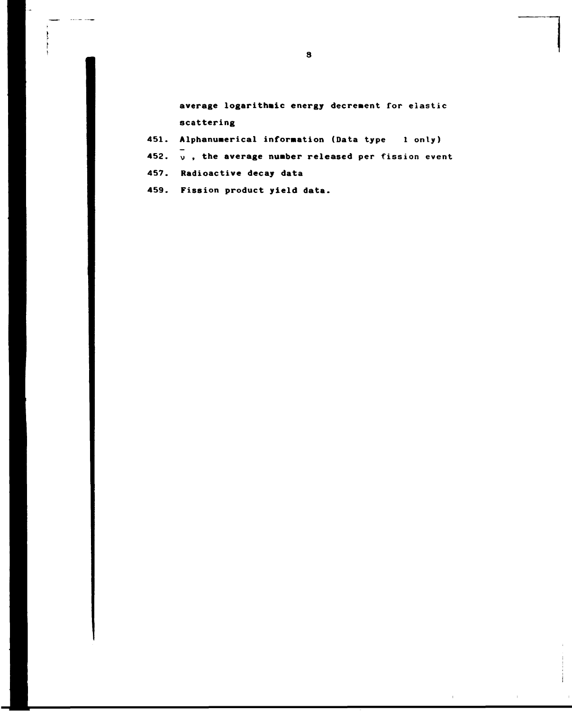**average logarithmic energy decrement for elastic scattering** 

- **451. Alphanumerical information (Data type 1 only)**
- **452.**  $\overline{v}$ , the average number released per fission event
- **457. Radioactive decay data**

**459. Fission product yield data.**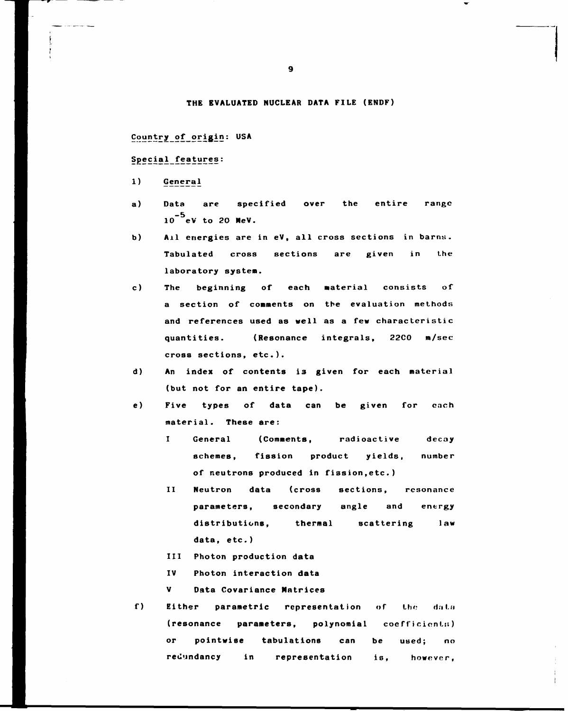#### **THE EVALUATED NUCLEAR DATA FILE (ENDF)**

**Countryof origin: USA** 

Special\_features:

- **1) General**
- **a) Data are specified over the entire range -5 10 eV to 20 MeV.**
- **b) Ail energies are in eV, all cross sections in barns. Tabulated cross sections are given in the laboratory system.**
- **c) The beginning of each material consists of a section of comments on the evaluation methods and references used as well as a few characteristic quantities. (Resonance integrals, 22C0 m/sec cross sections, etc.).**
- **d) An index of contents i3 given for each material (but not for an entire tape).**
- **e) Five types of data can be given for each material. These are:** 
	- **I General (Comments, radioactive decay schemes, fission product yields, number of neutrons produced in fission,etc.)**
	- **II Neutron data (cross sections, resonance parameters, secondary angle and energy distributions, thermal scattering law data, etc.)**
	- **III Photon production data**
	- **IV Photon interaction data**

**V Data Covariance Matrices** 

f) Either parametric representation of the data **(resonance parameters, polynomial coefficient.:;) or pointwise tabulations can be used; no redundancy in representation is, however.**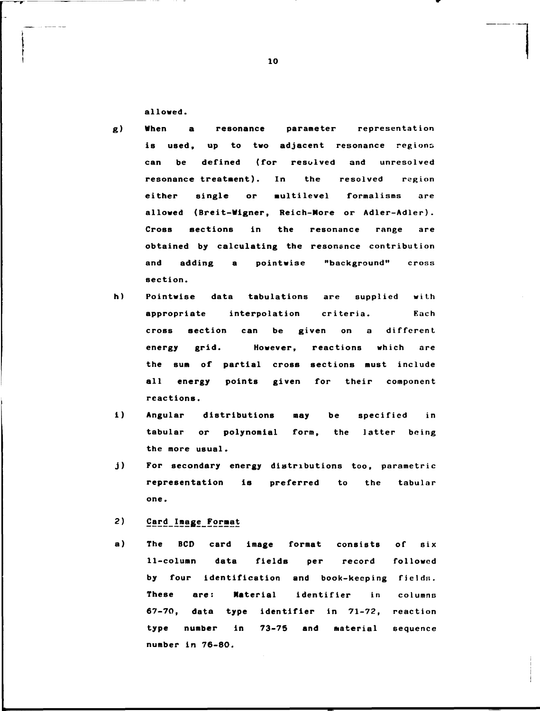**allowed.** 

- **g) When a resonance parameter representation**  is used, up to two adjacent resonance regions **can be defined (for resolved and unresolved resonance treatment). In the resolved region either single or multilevel formalisms are allowed (Breit-Wigner, Reich-More or Adler-Adler). Cross sections in the resonance range are obtained by calculating the resonance contribution and adding a pointwise "background" cross section.**
- **h) Pointwise data tabulations are supplied with appropriate interpolation criteria. Each cross section can be given on a different energy grid. However, reactions which are the sum of partial cross sections must include all energy points given for their component reactions.**
- **i) Angular distributions may be specified in tabular or polynomial form, the latter being the more usual.**
- **j) For secondary energy distributions too, parametric representation is preferred to the tabular one.**
- $2)$ Card Image Format
- **a) The BCD card image format consists of six 11-column data fields per record followed by four identification and book-keeping fields;. These are: Material identifier in columns 67-70, data type identifier in 71-72, reaction type number in 73-75 and material sequence number in 76-80.**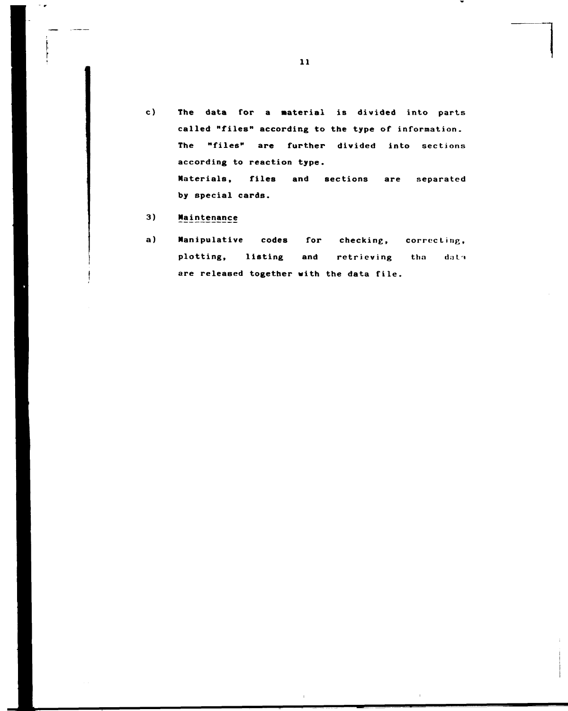- **c) The data for a Material is divided into parts called "files" according to the type of information. The "files" are further divided into** sections **according to reaction type. Materials, files and sections are** separated **by special cards.**
- 3) Maintenance

 $\sim$   $\sigma$ 

**a) Manipulative codes for** checking, correcting, plotting, listing and retrieving tha data are **released together with the** data file.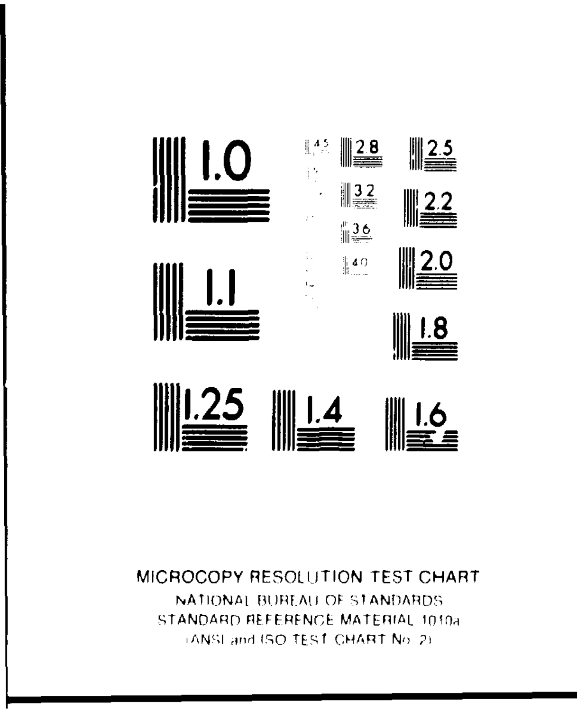

#### MICROCOPY RESOLUTION TEST CHART NATIONAI BUREAU OF STANDARDS STANDARD REFERENCE MATERIAL 1010a LANSI and ISO TEST CHART No. 2).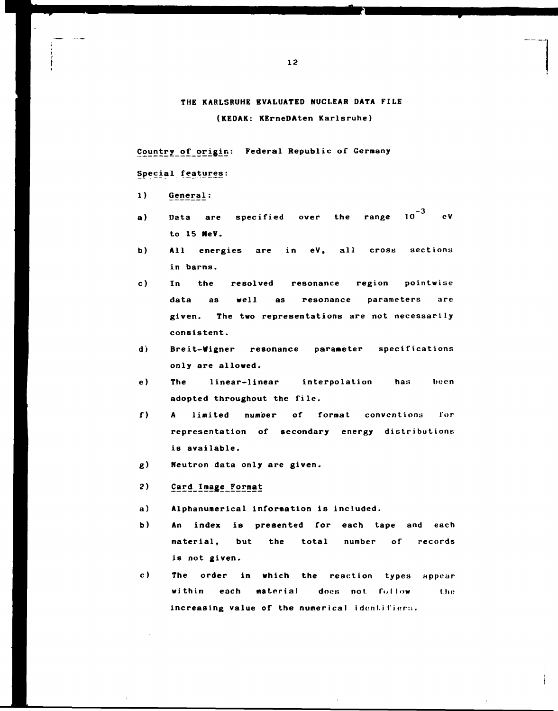## **THE KARLSRUHE EVALUATED NUCLEAR DATA FILE (KEDAK: KErneDAten Karlsruhe)**

**Countryof origin: Federal Republic of Germany** 

## Special features:

1) General:

- Data are specified over the range  $10^{-3}$  $a)$  $eV$ **a) Data are specified over the range 10 ev**
- $\mathbf{b}$ ) All energies are in eV, all cross sections **b) All energies are in eV, all cross sections**
- $c)$ In the resolved resonance region pointwise **c) In the resolved resonance region pointwise**  given. The two representations are not necessarily **given. The two representations are not necessarily**
- d) Breit-Wigner resonance parameter specifications **d) Breit-Wigner resonance parameter specifications**
- **The** linear-linear interpolation  $e)$ has been adopted throughout the file.
- $f$ ) A limited number of format conventions for representation of secondary energy distributions **representation of secondary energy distributions**
- $g)$ **Neutron data only are given.**

#### $2)$ Card Image Format

- **a) Alphanumerical information is included.**
- **b) An index is presented for each tape and each material, but the total number of records is not given.**
- **c) The order in which the reaction types appear within each material does not. follow the**  increasing value of the numerical identifiers.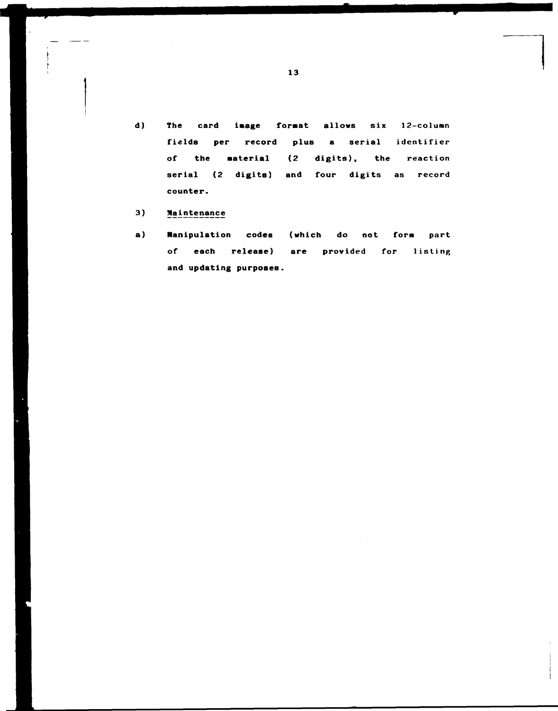**d) The card iaage format allows six 12-column fields per record plus a** serial identifier **of the Material (2 digits), the** reaction **serial (2 digits) and four digits as record counter.** 

## 3) Maintenance

**a) Manipulation codes (which do not form part of each release) are provided for** listing **and updating purposes.**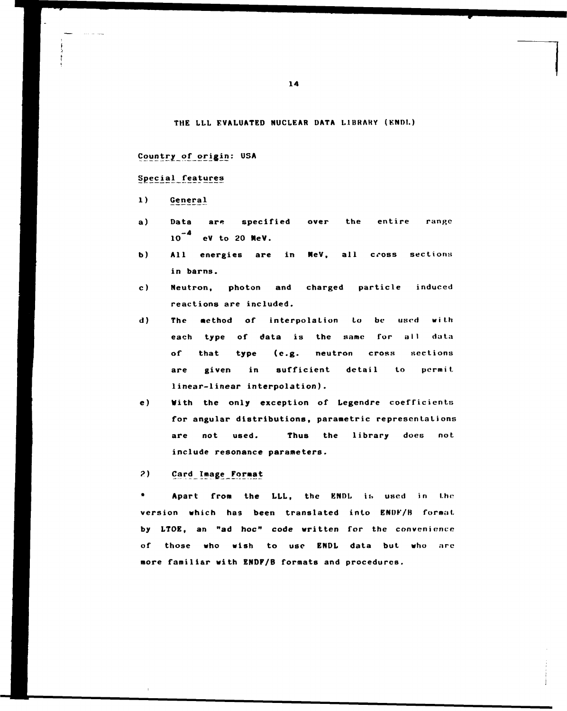### **THE LLL EVALUATED NUCLEAR DATA L1BRAHY (KND1.)**

## **Countryof origin: USA**

## Special features

- **1) Genera1**
- a) Data are specified over the entire range 10<sup>-4</sup> eV to 20 MeV.
- **b) All energies are in MeV, all cross sections in barns.**
- **c) Neutron, photon and charged particle induced reactions are included.**
- **d) The method of interpolation to be used with each type of data is the same for all data of that type (e.g. neutron cross sections are given in sufficient detail to permit linear-linear interpolation).**
- **e) With the only exception of Legendre coefficients for angular distributions, parametric representations are not used. Thus the library does not include resonance parameters.**

## 2) **Card Image Format**

Apart from the LLL, the ENDL is used in the version which has been translated into ENDF/B format **by LTOE, an "ad hoc" code written for the convenience of those who wish to use ENDL data but who arc more familiar with ENDF/B formats and procedures.**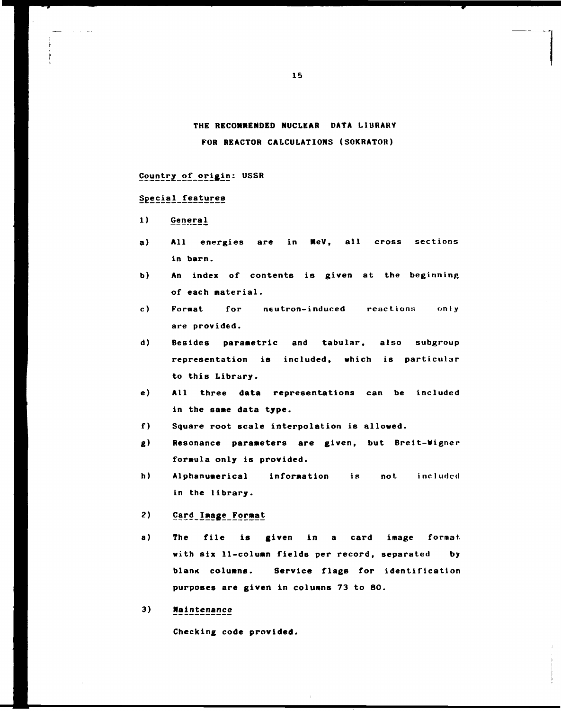**THE RECOMMENDED NUCLEAR DATA LIBRARY FOR REACTOR CALCULATIONS (SOKRATOR)** 

#### **Country of origin: USSR**

## **Special\_ features**

- **1) General**
- **a) All energies are in MeV, all cross sections in barn.**
- **b) An index of contents is given at the beginning of each material.**
- **c) Format for neutron-induced reactions only are provided.**
- **d) Besides parametric and tabular, also subgroup representation is included, which is particular to this Library.**
- **e) All three data representations can be included in the same data type.**
- **f) Square root scale interpolation is allowed.**
- **g) Resonance parameters are given, but Breit-Wigner formula only is provided.**
- **h) Alphanumerical information is not. included in the library.**
- $2)$ Card Image Format
- **a) The file is given in a card image format with six 11-column fields per record, separated by**  blank columns. Service flags for identification **purposes are given in columns 73 to 80.**

3) **Maintenance** 

**Checking code provided.**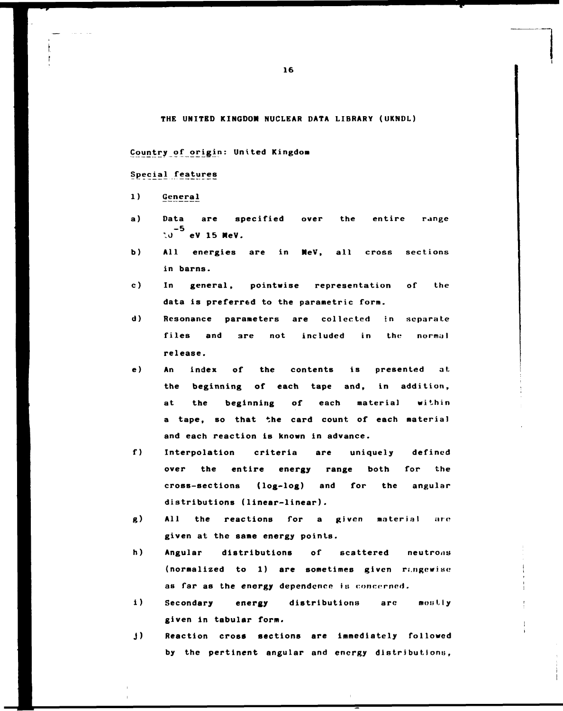#### **THE UNITED KINGDOM NUCLEAR DATA LIBRARY (UKNDL)**

#### **Country of origin: United Kingdom**

## **Special features**

- 1) General
- **a) Data are specified over the entire range -5**  *\0* **eV 15 HeV.**
- **b) All energies are in MeV, all cross sections in barns.**
- **c) In general, pointwise representation of the data is preferred to the parametric form.**
- **d) Resonance parameters are collected in separate files and are not included in the normal release.**
- **e) An index of the contents is presented at. the beginning of each tape and, in addition, at the beginning of each materia) within a tape, so that the card count of each material and each reaction is known in advance.**
- **f) Interpolation criteria are uniquely defined over the entire energy range both for the cross-sections (log-log) and for the angular distributions (linear-linear).**
- **g)** All the reactions for a given material are **given at the same energy points.**
- **h) Angular distributions of scattered neutrons**  (normalized to 1) are sometimes given rangewise as far as the energy dependence is concerned.
- **i) Secondary energy distributions arc mostly given in tabular form.**
- **j) Reaction cross sections are immediately followed**  by the pertinent angular and energy distributions,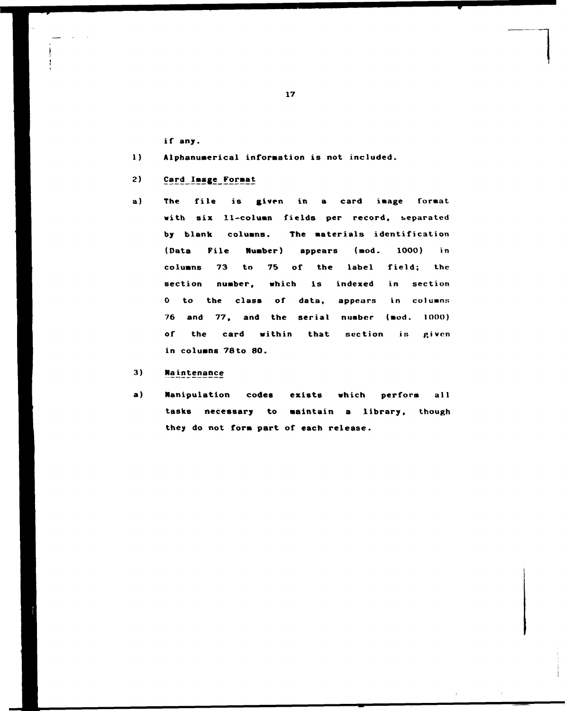**i f any.** 

- 1) Alphanumerical information is not included.
- **2** Card\_Image\_Format
- **a) The file is given in a card iaage format with six 11-coluan fields per record, separated**  by **blank** columns. The materials identification **(Data File Number) appears (mod. 1000) in columns 73 to 75 of the label field; the section number, which is indexed in section 0 to the class of data, appears in column:; 76 and 77, and the serial number (mod. 1000)**  of the card within that section is given **in columns 78to 80.**
- 3) **Maintenance**
- **a) Manipulation codes exists which perform all**  tasks necessary to maintain a library, though **they do not form part of each release.**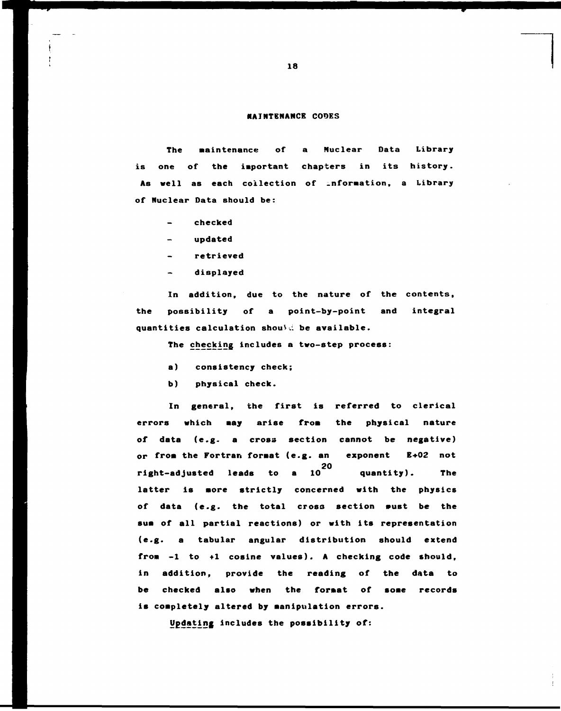#### **MAINTENANCE CODES**

**The aaintenance of a Nuclear Data Library is one of the important chapters in its history. As well as each collection of .nforaation, a Library of Nuclear Data should be:** 

- **checked**
- **updated**
- **retrieved**
- **displayed**

**In addition, due to the nature of the contents, the possibility of a point-by-point and integral quantities calculation shouV.i be available.** 

**The checking includes a two-step process:** 

- **a) consistency check;**
- **b) physical check.**

**In general, the first is referred to clerical**  errors which may arise from the physical nature **of data (e.g. a cross section cannot be negative) or froa the Fortran foraat (e.g. an exponent E+02 not 20 right-adjusted leads to a 10 quantity). The latter is aore strictly concerned with the physics**  of data (e.g. the total cross section wust be the **sua of all partial reactions) or with its representation (e.g. a tabular angular distribution should extend froa -1 to +1 cosine values). A checking code should, in addition, provide the reading of the data to be checked also when the foraat of soae records is coapletely altered by manipulation errors.** 

**Updating includes the possibility of:**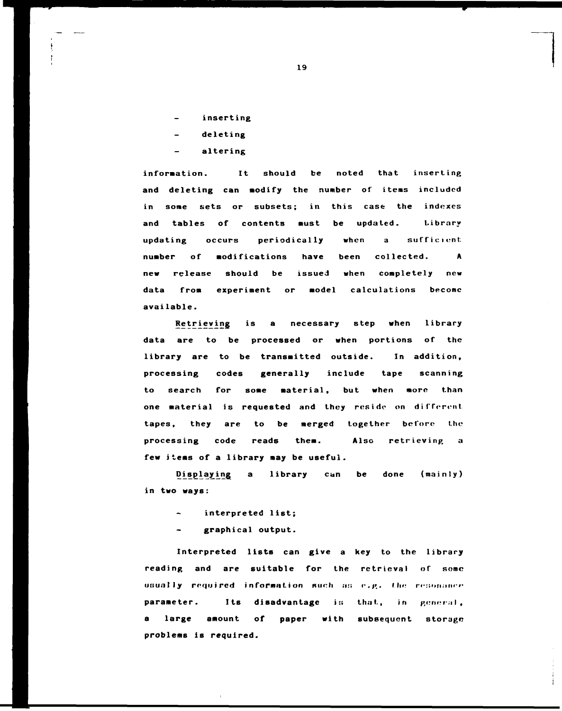- **inserting**
- **deleting**
- **altering**

**information. It should be noted that inserting and deleting can modify the number of items included in some sets or subsets; in this case the indexes and tables of contents must be updated. Library**  updating occurs periodically when a sufficient **number of modifications have been collected. A new release should be issued when completely new data from experiment or model calculations become available.** 

**[Retr.ievi.ng](http://Retr.ievi.ng) is a necessary step when library data are to be processed or when portions of the library are to be transmitted outside. In addition, processing codes generally include tape scanning to search for some material, but when more than one material is requested and they reside on different tapes, they are to be merged together before the processing code reads them. Also retrieving a few items of a library may be useful.** 

**Displaying a library can be done (mainly) in two ways:** 

- **interpreted list;**
- **graphical output.**

**Interpreted lists can give a key to the library reading and are suitable for the retrieval of some usually required information such** as e.g. the resonance parameter. Its disadvantage is that, in general, large amount of paper with subsequent storage **problems is required.**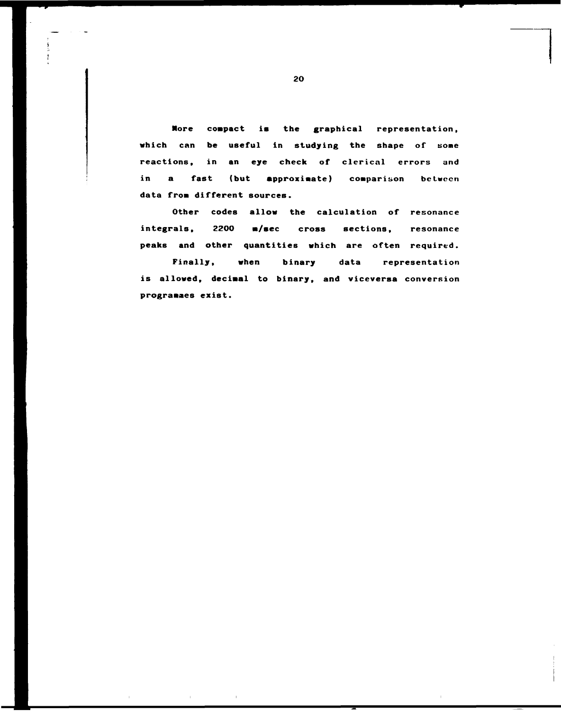**More compact is the graphical representation, which can be useful in studying the shape of some reactions, in an eye check of clerical errors and in a fast (but approximate) comparison between data from different sources.** 

**Other codes allow the calculation of resonance integrals, 2200 m/sec cross sections, resonance peaks and other quantities which are often required.** 

**Finally, when binary data representation is allowed, decimal to binary, and viceversa conversion programmes exist.**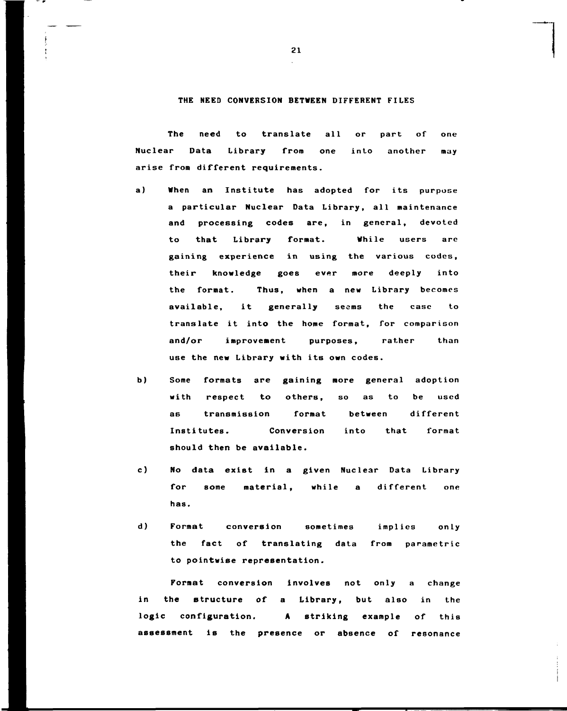#### **THE NEED CONVERSION BETWEEN DIFFERENT FILES**

**The need to translate all or part of one Nuclear Data Library from one into another may arise from different requirements.** 

- **a) When an Institute has adopted for its purpose a particular Nuclear Data Library, all maintenance and processing codes are, in general, devoted to that Library format. While users are gaining experience in using the various codes, their knowledge goes ever more deeply into the format. Thus, when a new Library becomes available, it generally seems the case to translate it into the home format, for comparison and/or improvement purposes, rather than use the new Library with its own codes.**
- **b) Some formats are gaining more general adoption with respect to others, so as to be used as transmission format between different Institutes. Conversion into that format should then be available.**
- **c) No data exist in a given Nuclear Data Library for some material, while a different one has.**
- **d) Format conversion sometimes implies only the fact of translating data from parametric to pointwise representation.**

**Format conversion involves not only a change in the structure of a Library, but also in the logic configuration. A striking example of this assessment is the presence or absence of resonance**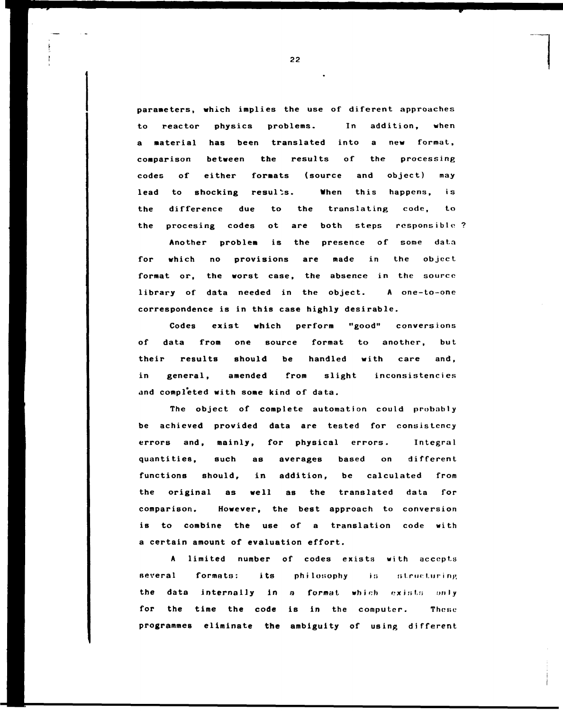**parameters, which implies the use of diferent approaches to reactor physics problems. In addition, when a material has been translated into a new format, comparison between the results of the processing codes of either formats (source and object) may**  lead to shocking results. When this happens, is **the difference due to the translating code, to the procesing codes ot are both steps responsible** 

**Another problem is the presence of some data for which no provisions are made in the object format or, the worst case, the absence in the source library of data needed in the object. A one-to-one correspondence is in this case highly desirable.** 

**Codes exist which perform "good" conversions of data from one source format to another, but their results should be handled with care and, in general, amended from slight inconsistencies and completed with some kind of data.** 

**The object of complete automation could probably be achieved provided data are tested for consistency errors and, mainly, for physical errors. Integral quantities, such as averages based on different functions should, in addition, be calculated from the original as well as the translated data for comparison. However, the best approach to conversion is to combine the use of a translation code with a certain amount of evaluation effort.** 

**A limited number of codes exists with accepts**  several formats: its philosophy is structuring **the data internally in a format which exists only for the time the code is in the computer. These programmes eliminate the ambiguity of using different**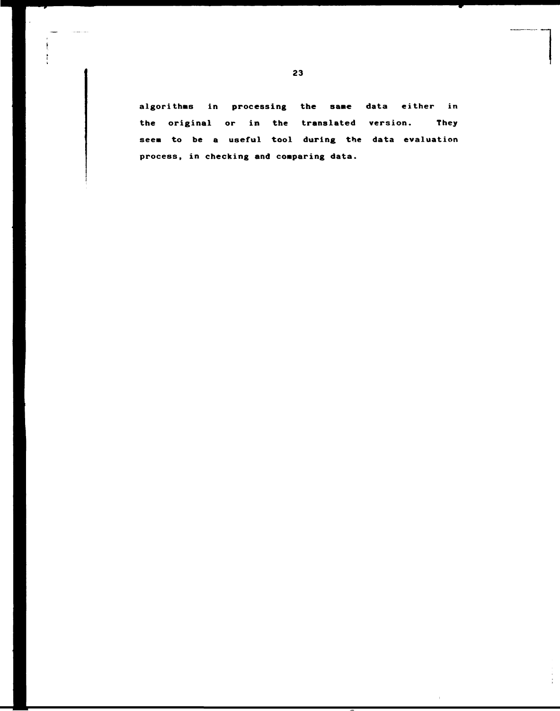**23** 

المساجدت

**algorithms in processing the sane data either in the original or in the translated version. They**  seem to be a useful tool during the data evaluation **process, in checking and comparing data.** 

Ť,

 $\mathbb{F}^2$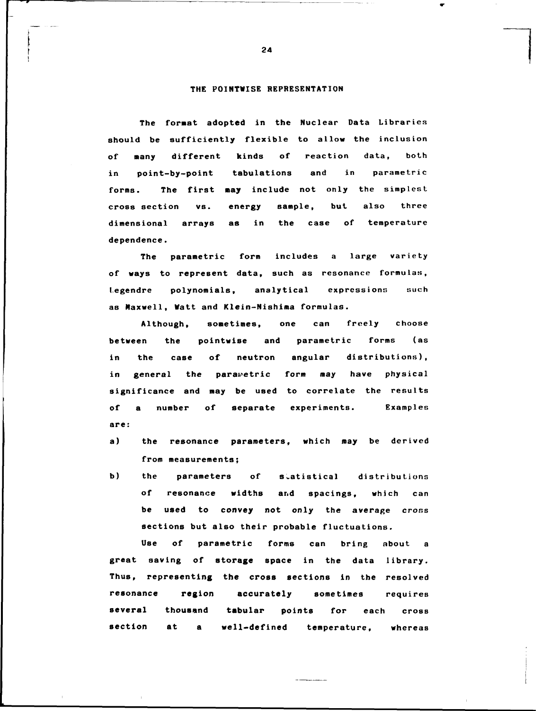## **THE FOINTWISE REPRESENTATION**

**The format adopted in the Nuclear Data Libraries should be sufficiently flexible to allow the inclusion of many different kinds of reaction data, both in point-by-point tabulations and in parametric forms. The first may include not only the simplest cross section vs. energy sample, but also three dimensional arrays as in the case of temperature dependence.** 

**The parametric form includes a large variety of ways to represent data, such as resonance formulas, tegendre polynomials, analytical expressions such as Maxwell, Watt and Klein-Nishima formulas.** 

**Although, sometimes, one can freely choose between the pointwise and parametric forms (as in the case of neutron angular distributions),**  in general the parawetric form may have physical **significance and may be used to correlate the results of a number of separate experiments. Examples are:** 

- **a) the resonance parameters, which may be derived from measurements;**
- **b)** the parameters of statistical distributions **of resonance widths ar.d spacings, which can be used to convey not only the average cross sections but also their probable fluctuations.**

**Use of parametric forms can bring about a great saving of storage space in the data library. Thus, representing the cross sections in the resolved resonance region accurately sometimes requires several thousand tabular points for each cross section at a well-defined temperature, whereas** 

 $\overline{a}$  and  $\overline{a}$  and  $\overline{a}$  are  $\overline{a}$  and  $\overline{a}$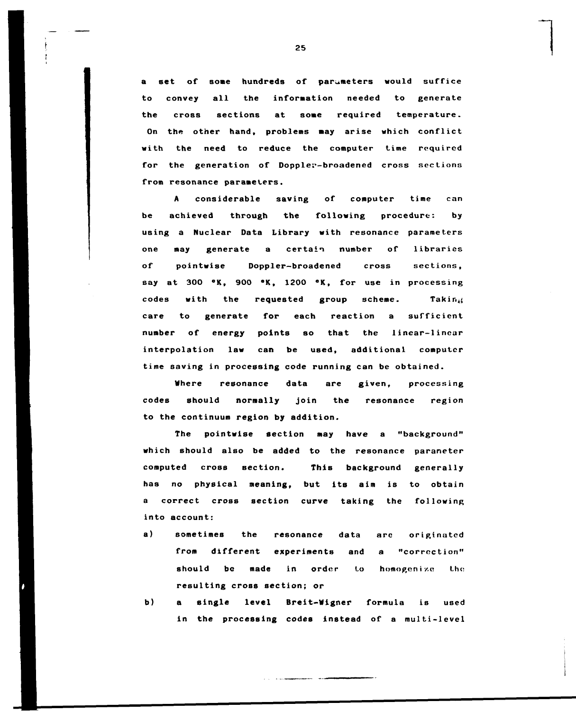**a set of some hundreds of parameters would suffice to convey all the information needed to generate the cross sections at some required temperature. On the other hand, problems may arise which conflict with the need to reduce the computer time required for the generation of Doppler-broadened cross sections from resonance parameters.** 

**A considerable saving of computer time can be achieved through the following procedure: by using a Nuclear Data Library with resonance parameters one may generate a certain number of libraries of pointwise Doppler-broadened cross sections, say at 300 °K, 900 °K, 1200 °K, for use in processing codes with the requested group scheme. Taking care to generate for each reaction a sufficient number of energy points so that the linear-linear interpolation law can be used, additional computer time saving in processing code running can be obtained.** 

**Where resonance data are given, processing codes should normally join the resonance region to the continuum region by addition.** 

**The pointwise section may have a "background" which should also be added to the resonance paraneter computed cross section. This background generally has no physical meaning, but its aim is to obtain a correct cross section curve taking the following into account:** 

- **a) sometimes the resonance data arc originated from different experiments and a "correction"**  should be made in order to homogenize the **resulting cross section; or**
- **b) a single level Breit-Wigner formula is used in the processing codes instead of a multi-level**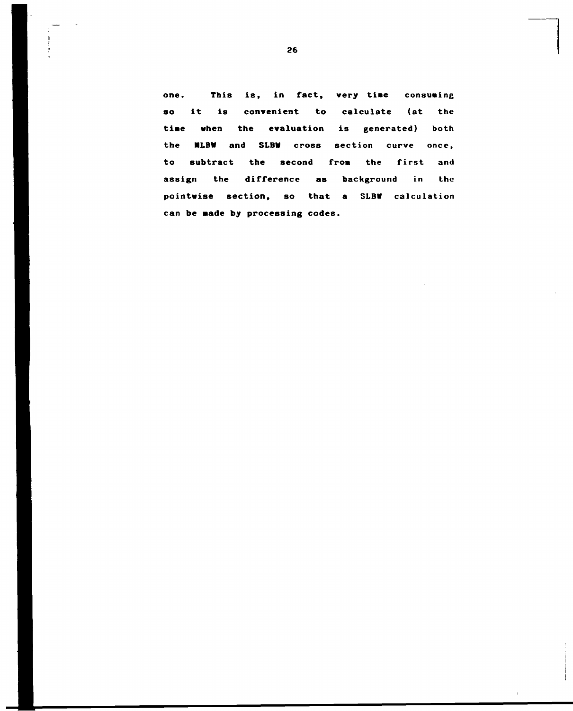**one. This is, in fact, very tiae** consuaing **so it is convenient to** calculate **(at** the **tiae when the evaluation** is generated) both the **HLBW and SLBW** cross section curve once, **to** subtract **the second from** the first and **assign the difference as background** in the **pointwise section, so that a SLBW** calculation can **be Hade by processing codes.**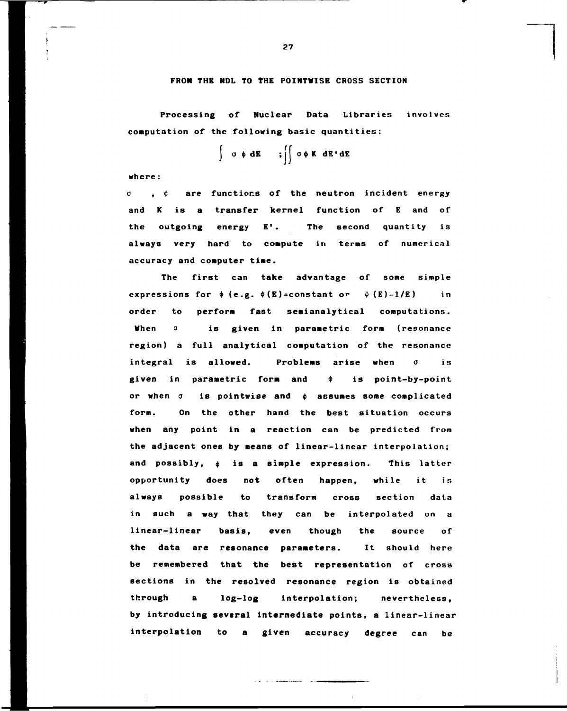#### **FROM THE NDL TO THE POINTWISE CROSS SECTION**

**Processing of Nuclear Data Libraries involves computation of the following basic quantities:** 

 $\int$  o  $\phi$  dE  $\int$  ;  $\int$  o  $\phi$  K dE'dE

**where :** 

**o , <f are functions of the neutron incident energy and K is a transfer kernel function of E and of the outgoing energy E' . The second quantity is always very hard to compute in terms of numerical accuracy and computer time.** 

**The first can take advantage of some simple**  expressions for  $\phi$  (e.g.  $\phi$ (E)=constant or  $\phi$  (E)=1/E) in **order to perform fast semianalytical computations. When a is given in parametric form (resonance region) a full analytical computation of the resonance integral is allowed. Problems arise when o is given in parametric form and \$ is point-by-point**  or when  $\sigma$  is pointwise and  $\phi$  assumes some complicated **form. On the other hand the best situation occurs when any point in a reaction can be predicted from the adjacent ones by means of linear-linear interpolation;**  and possibly,  $\phi$  is a simple expression. This latter opportunity does not often happen, while it is **always possible to transform cross section data in such a way that they can be interpolated on a linear-linear basis, even though the source of the data are resonance parameters. It should here be remembered that the best representation of cross sections in the resolved resonance region is obtained through a log-log interpolation; nevertheless, by introducing several intermediate points, a linear-linear interpolation to a given accuracy degree can be** 

and the complete service of the com-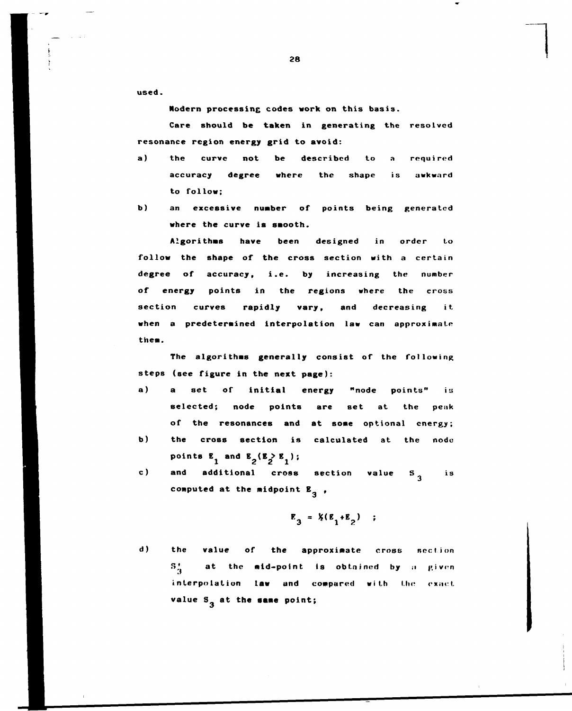**used.** 

**Modern processine codes work on this basis.** 

**Care should be taken in generating the resolved resonance region energy grid to avoid:** 

- **a) the curve not be described to a required accuracy degree where the shape is awkward to follow;**
- **b) an excessive nuaber of points being generated where the curve is smooth.**

**Algorithms have been designed in order Lo follow the shape of the cross section with a certain degree of accuracy, i.e. by increasing the number of energy points in the regions where the cross section curves rapidly vary, and decreasing it when a predetermined interpolation law can approximate them.** 

**The algorithms generally consist of the following steps (see figure in the next page):** 

- **a) a set of initial energy "node points" is selected; node points are set at the peak of the resonances and at some optional energy;**
- **b) the cross section is calculated at the node**  points  $E_1$  and  $E_2(E_2 > E_1)$ ;
- **c) and additional cross section value 5 is**  computed at the midpoint  $E_{2}$ ,

$$
\mathbf{E}_3 = \mathbf{X}(\mathbf{E}_1 + \mathbf{E}_2) \quad ;
$$

**3** 

**d) the value of the approximate cross section**   $S_A^+$  at the mid-point is obtained by a given interpolation law and compared with the exact value S<sub>3</sub> at the same point;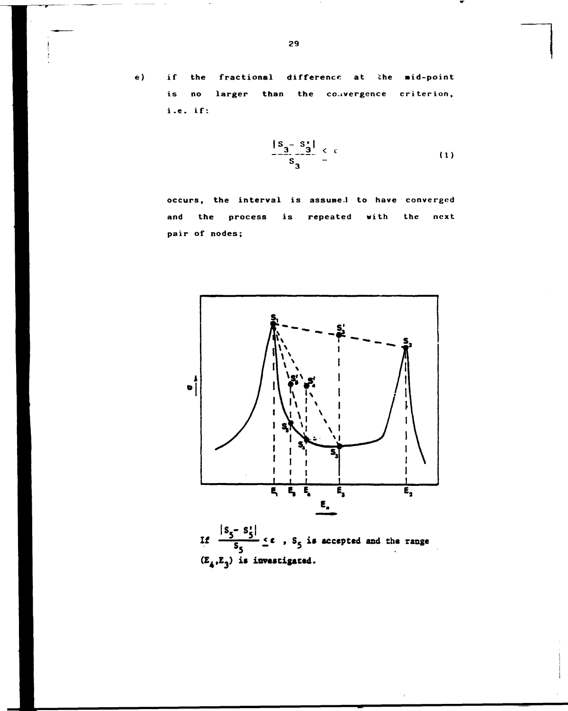$e)$ 

**if the fractional difference at the aid-point is no larger than the convergence criterion, i.e. if:** 

$$
\frac{|S_3 - S_3|}{S_3} \leq \epsilon \tag{1}
$$

**occurs, the interval is assume.] to have converged and the process is repeated with the next pair of nodes;** 



If  $\frac{|S_5 - S_5^*|}{S_5} \le \epsilon$ ,  $S_5$  is accepted and the range  $(E_4, E_3)$  is investigated.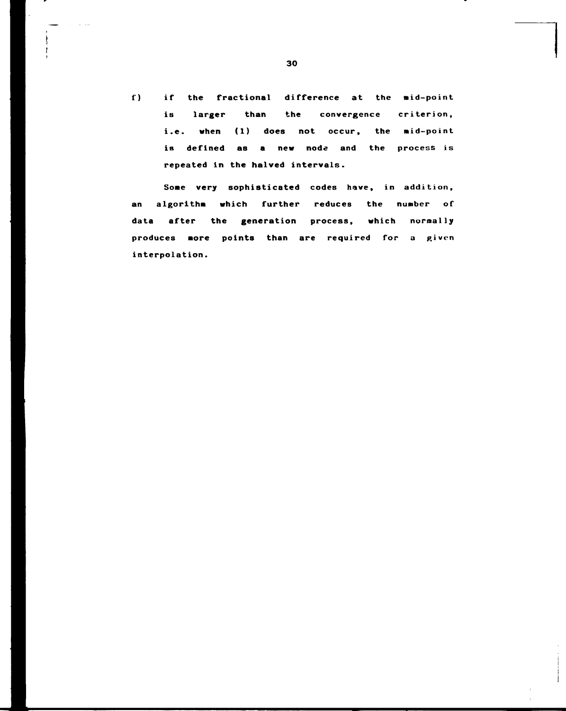**f) if the fractional difference at the aid-point is larger than the convergence criterion, i.e. when (1) does not occur, the mid-point**  is defined as a new node and the process is **repeated in the halved intervals.** 

**Some very sophisticated codes have, in addition, an algorithm which further reduces the number of data after the generation process, which normally**  produces more points than are required for a given **interpolation.**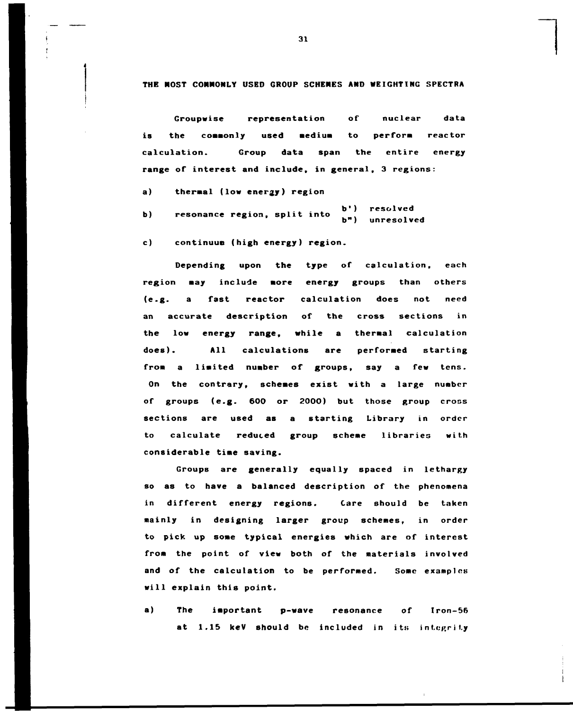**THE HOST COMMONLY USED GROUP SCHEMES AND WEIGHTING SPECTRA** 

**Groupwise representation of nuclear data is the commonly used medium to perform reactor calculation. Group data span the entire energy range of interest and include, in general, 3 regions:** 

**a) thermal (low energy) region** 

**b**) resonance region, split into b') resolved<br>b<sup>"</sup>) unresolved

**c) continuum (high energy) region.** 

**Depending upon the type of calculation, each region may include more energy groups than others (e.g. a fast reactor calculation does not need an accurate description of the cross sections in the low energy range, while a thermal calculation does). All calculations are performed starting from a limited number of groups, say a few tens. On the contrary, schemes exist with a large number of groups (e.g. 600 or 2000) but those group cross sections are used as a starting Library in order to calculate reduced group scheme libraries with considerable time saving.** 

**Groups are generally equally spaced in lethargy so as to have a balanced description of the phenomena in different energy regions. Care should be taken mainly in designing larger group schemes, in order to pick up some typical energies which are of interest from the point of view both of the materials involved and of the calculation to be performed. Some examples will explain this point.** 

**a) The important p-wave resonance of Iron-56**  at 1.15 keV should be included in its integrity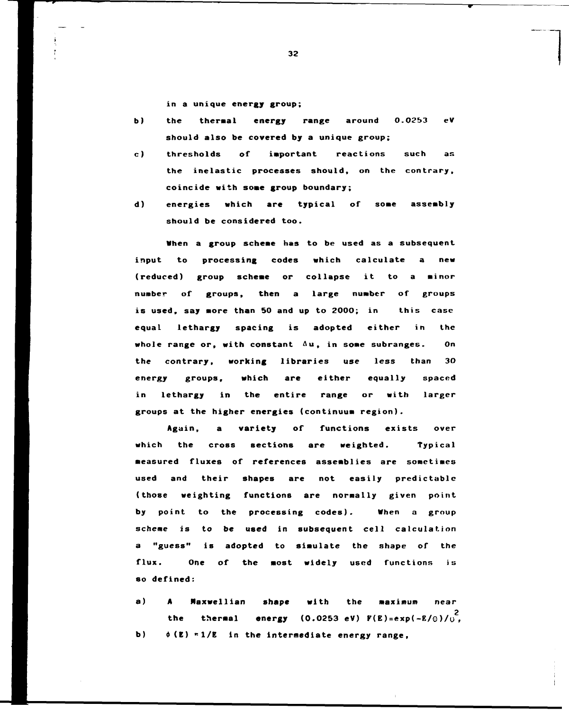**in a unique energy group;** 

- **b) the thermal energy range around 0.0253 eV should also be covered by a unique group;**
- **c) thresholds of important reactions such as the inelastic processes should, on the contrary, coincide with some group boundary;**
- **d) energies which are typical of some assembly should be considered too.**

**When a group scheme has to be used as a subsequent input to processing codes which calculate a new (reduced) group scheme or collapse it to a minor number of groups, then a large number of groups is used, say more than 50 and up to 2000; in this case equal lethargy spacing is adopted either in the whole range or, with constant Au, in some subranges. On the contrary, working libraries use less than 30 energy groups, which are either equally spaced in lethargy in the entire range or with larger groups at the higher energies (continuum region).** 

**Again, a variety of functions exists over which the cross sections are weighted. Typical measured fluxes of references assemblies are sometimes used and their shapes are not easily predictable (those weighting functions are normally given point by point to the processing codes). When a group scheme is to be used in subsequent cell calculation a "guess" is adopted to simulate the shape of the flux. One of the most widely used functions is so defined:** 

**a) A Maxwellian shape with the maximum near 2 the thermal energy (0.0253 eV) F(E)=exp(-E/o)/o , b) 0(E) \*1/E in the intermediate energy range,**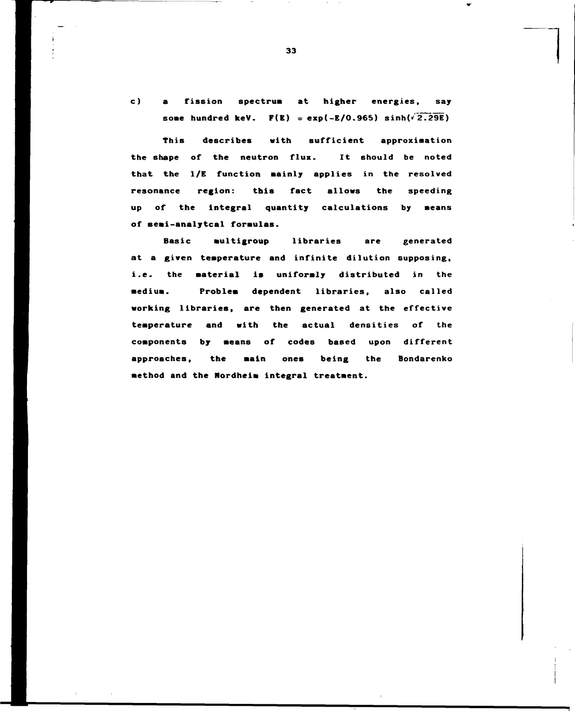**e) a** fission **spectrum at higher energies,** say some hundred keV.  $F(E) = exp(-E/0.965) sinh( $\sqrt{2.29E}$ )$ 

This **describes with sufficient approximation the shape of the neutron flux. It should be noted that the 1/E function mainly applies** in **the** resolved **resonance region: this fact allows the speeding up of the integral quantity calculations by means of semi-analytcal formulas.** 

Basic **multigroup libraries are generated at a given temperature and** infinite dilution supposing, i.e. the **material is uniformly** distributed **in** the **medium. Problem dependent** libraries, also called **working libraries, are then generated** at **the** effective **temperature and with the actual** densities of the **components by means of codes based upon different approaches, the main ones being the Bondarenko method and the Nordheim integral treatment.**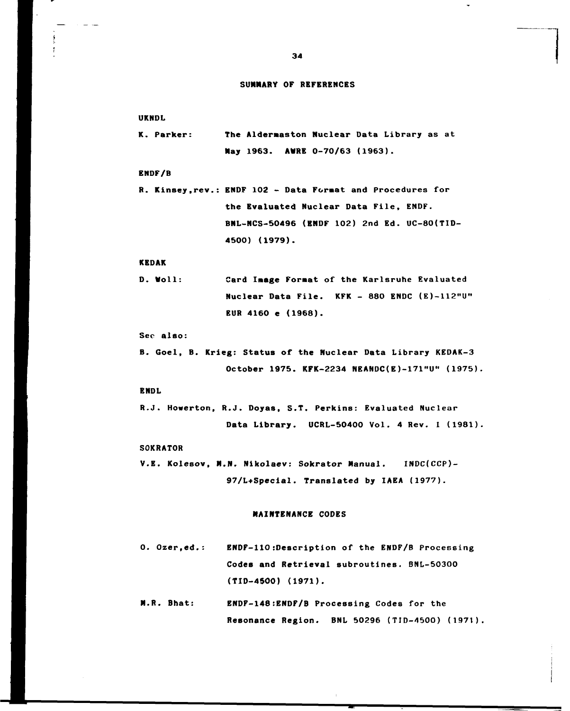#### **SUMMARY OF REFERENCES**

**UKNDL** 

**K. Parker: The Aldernaston Nuclear Data Library as at May 1963. AURE 0-70/63 (1963).** 

**ENDF/B** 

**R. Kinsey.rev. ENDF 102 - Data Format and Procedures for the Evaluated Nuclear Data File, ENDF. BNL-NCS-50496 (ENDF 102) 2nd Ed. UC-80(TID-4500) (1979).** 

#### **KEDAK**

**D. «toll: Card Iaage Format of the Karlsruhe Evaluated Nuclear Data File. KFK - 880 ENDC (E)-112"U<sup>M</sup> EUR 4160 e (1968).** 

#### **Sec also:**

**B. Goel, B. Krieg: Status of the Nuclear Data Library KEDAK-3 October 1975. KFK-2234 NEANDC(E)-171"U" (1975)** 

#### **ENDL**

**R.J. Howerton, R.J. Doyas, S.T. Perkins: Evaluated Nuclear Data Library. UCRL-50400 Vol. 4 Rev. I (1981)** 

#### **SOKRATOR**

**V.E. Kolesov, M.N. Nikolaev: Sokrator Manual. INDC(CCP)- 97/L+Special. Translated by IAEA (1977).** 

#### **MAINTENANCE CODES**

- **0. Ozer,ed. ENDF-110:Description of the ENDF/B Processing Codes and Retrieval subroutines. BNL-50300 (TID-4500) (1971).**
- **M.R. Bhat: ENDF-148:ENDF/B Processing Codes for the Resonance Region. BNL 50296 (TID-4500) (1971)**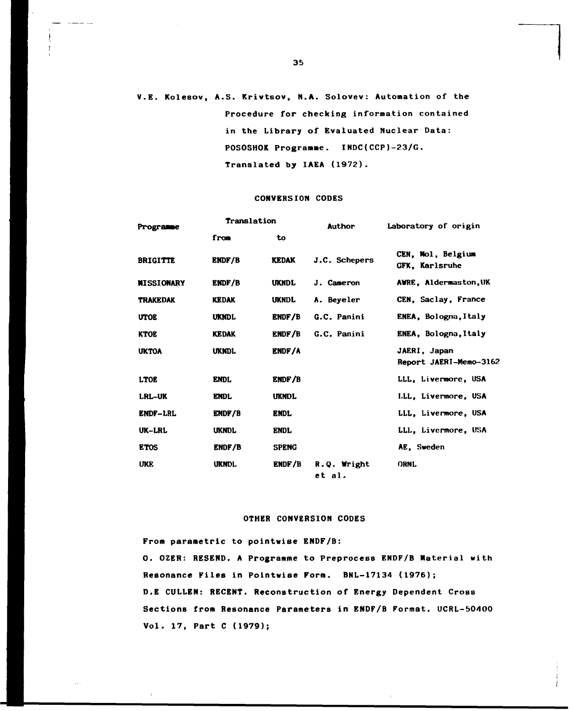## **V.E. Kolesov, A.S. Krivtsov, N.A. Solovev: Automation of the Procedure for checking information contained in the Library of Evaluated Nuclear Data: POSOSHOK Programme. INDC(CCP)-23/G. Translated by IAEA (1972).**

#### **CONVERSION CODES**

| Programme         | Translation   |               | Author                | Laboratory of origin                       |
|-------------------|---------------|---------------|-----------------------|--------------------------------------------|
|                   | from          | to            |                       |                                            |
| <b>BRIGITTE</b>   | <b>ENDF/B</b> | <b>KEDAK</b>  | J.C. Schepers         | CEN. Mol. Belgium<br><b>GFK. Karlsruhe</b> |
| <b>MISSIONARY</b> | <b>ENDF/B</b> | <b>UKNDL</b>  | J. Cameron            | <b>AWRE. Aldermaston.UK</b>                |
| <b>TRAKEDAK</b>   | <b>KEDAK</b>  | <b>UKNDL</b>  | A. Beveler            | CEN. Saclay, France                        |
| <b>UTOE</b>       | <b>UKNDL</b>  | ENDF/B        | G.C. Panini           | ENEA, Bologna, Italy                       |
| <b>KTOE</b>       | <b>KEDAK</b>  | ENDF/B        | G.C. Panini           | ENEA, Bologna, Italy                       |
| <b>UKTOA</b>      | <b>UKNDL</b>  | ENDF/A        |                       | JAERI, Japan<br>Report JAERI-Memo-3162     |
| <b>LTOE</b>       | <b>ENDL</b>   | <b>ENDF/B</b> |                       | LLL, Livermore, USA                        |
| <b>LRL-UK</b>     | <b>ENDL</b>   | <b>UKNDL</b>  |                       | I.LL, Livermore, USA                       |
| <b>ENDF-LRL</b>   | <b>ENDF/B</b> | <b>ENDL</b>   |                       | LLL. Livermore. USA                        |
| UK-LRL            | <b>UKNDL</b>  | <b>ENDL</b>   |                       | LLL. Livermore, USA                        |
| <b>ETOS</b>       | ENDF/B        | <b>SPENG</b>  |                       | AE. Sweden                                 |
| <b>UKE</b>        | <b>UKNDL</b>  | ENDF/B        | R.Q. Wright<br>et al. | ORNL                                       |

## **OTHER CONVERSION CODES**

**From parametric to pointwise ENDF/B: O. OZER: RESEND. A Programme to Preprocess ENDF/B Material with Resonance Files in Pointwise Form. BNL-17134 (1976); D.E CULLEN: RECENT. Reconstruction of Energy Dependent Cross Sections from Resonance Parameters in ENDF/B Format. UCRL-50400 Vol. 17, Part C (1979);**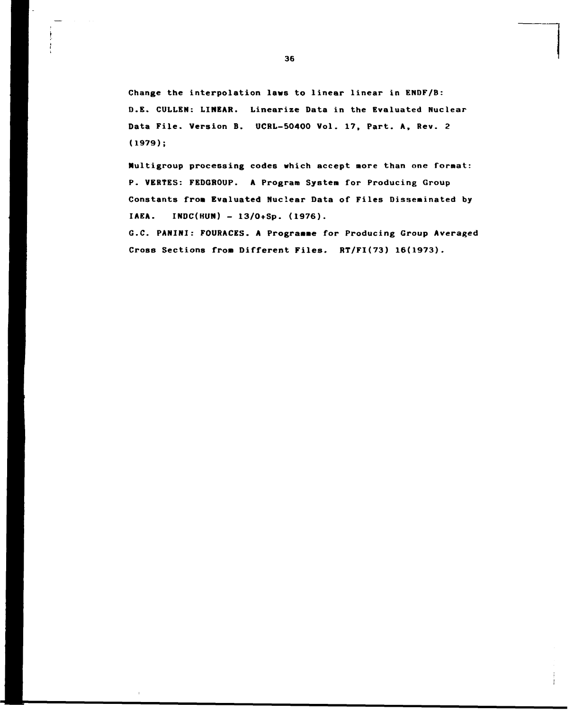**Change the interpolation laws to linear linear in ENDF/B: D.E. CULLEN: LINEAR. Linearize Data in the Evaluated Nuclear Data File. Version B. UCRL-50400 Vol. 17, Part. A, Rev. 2 (1979);** 

**Nultigroup processing codes which accept more than one format: P. VERTES: FEDGROUP. A Program System for Producing Group Constants from Evaluated Nuclear Data of Files Disseminated by IAEA. INDC(HUN) - 13/0+Sp. (1976).** 

**G.C. PANINI: FOURACES. A Programme for Producing Group Averaged Cross Sections from Different Files. RT/FI(73) 16(1973).**